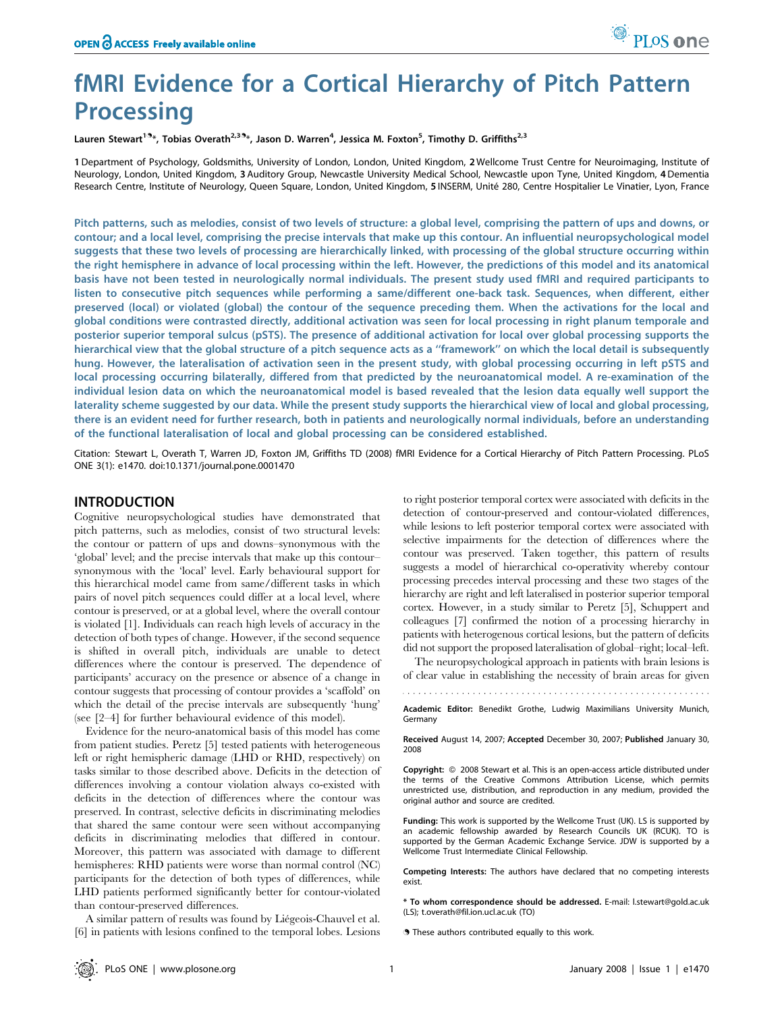# fMRI Evidence for a Cortical Hierarchy of Pitch Pattern Processing

Lauren Stewart<sup>19</sup>\*, Tobias Overath<sup>2,39</sup>\*, Jason D. Warren<sup>4</sup>, Jessica M. Foxton<sup>5</sup>, Timothy D. Griffiths<sup>2,3</sup>

1Department of Psychology, Goldsmiths, University of London, London, United Kingdom, 2 Wellcome Trust Centre for Neuroimaging, Institute of Neurology, London, United Kingdom, 3 Auditory Group, Newcastle University Medical School, Newcastle upon Tyne, United Kingdom, 4Dementia Research Centre, Institute of Neurology, Queen Square, London, United Kingdom, 5 INSERM, Unité 280, Centre Hospitalier Le Vinatier, Lyon, France

Pitch patterns, such as melodies, consist of two levels of structure: a global level, comprising the pattern of ups and downs, or contour; and a local level, comprising the precise intervals that make up this contour. An influential neuropsychological model suggests that these two levels of processing are hierarchically linked, with processing of the global structure occurring within the right hemisphere in advance of local processing within the left. However, the predictions of this model and its anatomical basis have not been tested in neurologically normal individuals. The present study used fMRI and required participants to listen to consecutive pitch sequences while performing a same/different one-back task. Sequences, when different, either preserved (local) or violated (global) the contour of the sequence preceding them. When the activations for the local and global conditions were contrasted directly, additional activation was seen for local processing in right planum temporale and posterior superior temporal sulcus (pSTS). The presence of additional activation for local over global processing supports the hierarchical view that the global structure of a pitch sequence acts as a ''framework'' on which the local detail is subsequently hung. However, the lateralisation of activation seen in the present study, with global processing occurring in left pSTS and local processing occurring bilaterally, differed from that predicted by the neuroanatomical model. A re-examination of the individual lesion data on which the neuroanatomical model is based revealed that the lesion data equally well support the laterality scheme suggested by our data. While the present study supports the hierarchical view of local and global processing, there is an evident need for further research, both in patients and neurologically normal individuals, before an understanding of the functional lateralisation of local and global processing can be considered established.

Citation: Stewart L, Overath T, Warren JD, Foxton JM, Griffiths TD (2008) fMRI Evidence for a Cortical Hierarchy of Pitch Pattern Processing. PLoS ONE 3(1): e1470. doi:10.1371/journal.pone.0001470

## INTRODUCTION

Cognitive neuropsychological studies have demonstrated that pitch patterns, such as melodies, consist of two structural levels: the contour or pattern of ups and downs–synonymous with the 'global' level; and the precise intervals that make up this contour– synonymous with the 'local' level. Early behavioural support for this hierarchical model came from same/different tasks in which pairs of novel pitch sequences could differ at a local level, where contour is preserved, or at a global level, where the overall contour is violated [1]. Individuals can reach high levels of accuracy in the detection of both types of change. However, if the second sequence is shifted in overall pitch, individuals are unable to detect differences where the contour is preserved. The dependence of participants' accuracy on the presence or absence of a change in contour suggests that processing of contour provides a 'scaffold' on which the detail of the precise intervals are subsequently 'hung' (see [2–4] for further behavioural evidence of this model).

Evidence for the neuro-anatomical basis of this model has come from patient studies. Peretz [5] tested patients with heterogeneous left or right hemispheric damage (LHD or RHD, respectively) on tasks similar to those described above. Deficits in the detection of differences involving a contour violation always co-existed with deficits in the detection of differences where the contour was preserved. In contrast, selective deficits in discriminating melodies that shared the same contour were seen without accompanying deficits in discriminating melodies that differed in contour. Moreover, this pattern was associated with damage to different hemispheres: RHD patients were worse than normal control (NC) participants for the detection of both types of differences, while LHD patients performed significantly better for contour-violated than contour-preserved differences.

A similar pattern of results was found by Liégeois-Chauvel et al. [6] in patients with lesions confined to the temporal lobes. Lesions to right posterior temporal cortex were associated with deficits in the detection of contour-preserved and contour-violated differences, while lesions to left posterior temporal cortex were associated with selective impairments for the detection of differences where the contour was preserved. Taken together, this pattern of results suggests a model of hierarchical co-operativity whereby contour processing precedes interval processing and these two stages of the hierarchy are right and left lateralised in posterior superior temporal cortex. However, in a study similar to Peretz [5], Schuppert and colleagues [7] confirmed the notion of a processing hierarchy in patients with heterogenous cortical lesions, but the pattern of deficits did not support the proposed lateralisation of global–right; local–left.

The neuropsychological approach in patients with brain lesions is of clear value in establishing the necessity of brain areas for given

Academic Editor: Benedikt Grothe, Ludwig Maximilians University Munich, **Germany** 

Received August 14, 2007; Accepted December 30, 2007; Published January 30, 2008

Copyright: © 2008 Stewart et al. This is an open-access article distributed under the terms of the Creative Commons Attribution License, which permits unrestricted use, distribution, and reproduction in any medium, provided the original author and source are credited.

Funding: This work is supported by the Wellcome Trust (UK). LS is supported by an academic fellowship awarded by Research Councils UK (RCUK). TO is supported by the German Academic Exchange Service. JDW is supported by a Wellcome Trust Intermediate Clinical Fellowship.

Competing Interests: The authors have declared that no competing interests exist.

\* To whom correspondence should be addressed. E-mail: l.stewart@gold.ac.uk (LS); t.overath@fil.ion.ucl.ac.uk (TO)

. These authors contributed equally to this work.

PLoS one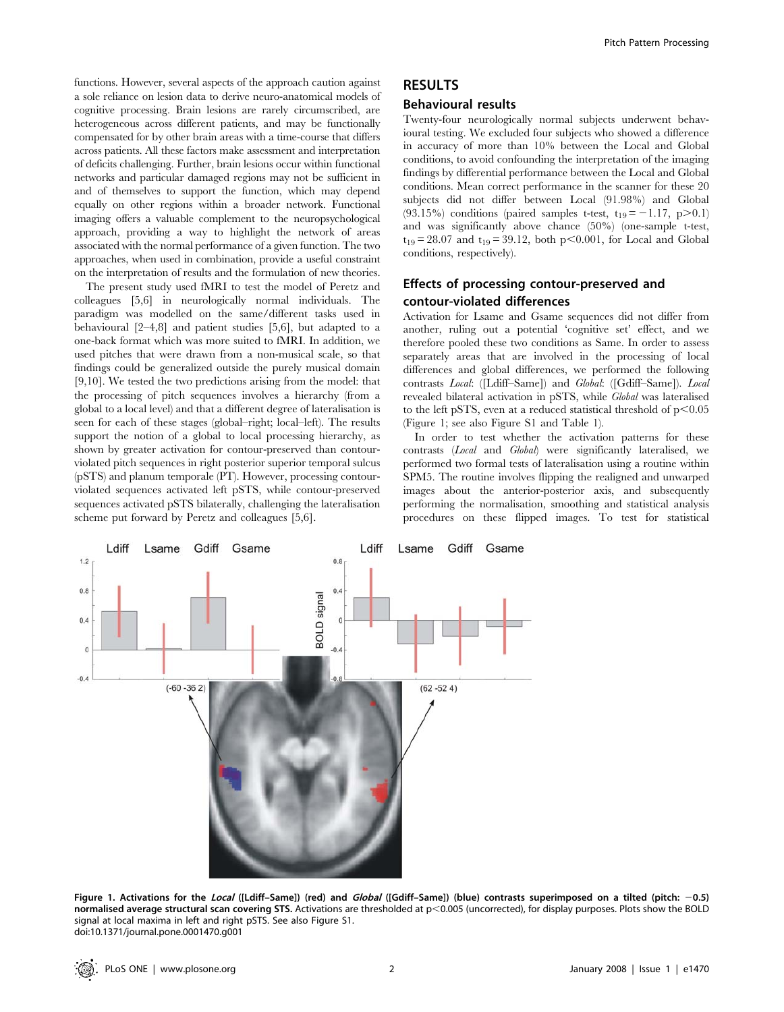functions. However, several aspects of the approach caution against a sole reliance on lesion data to derive neuro-anatomical models of cognitive processing. Brain lesions are rarely circumscribed, are heterogeneous across different patients, and may be functionally compensated for by other brain areas with a time-course that differs across patients. All these factors make assessment and interpretation of deficits challenging. Further, brain lesions occur within functional networks and particular damaged regions may not be sufficient in and of themselves to support the function, which may depend equally on other regions within a broader network. Functional imaging offers a valuable complement to the neuropsychological approach, providing a way to highlight the network of areas associated with the normal performance of a given function. The two approaches, when used in combination, provide a useful constraint on the interpretation of results and the formulation of new theories.

The present study used fMRI to test the model of Peretz and colleagues [5,6] in neurologically normal individuals. The paradigm was modelled on the same/different tasks used in behavioural [2–4,8] and patient studies [5,6], but adapted to a one-back format which was more suited to fMRI. In addition, we used pitches that were drawn from a non-musical scale, so that findings could be generalized outside the purely musical domain [9,10]. We tested the two predictions arising from the model: that the processing of pitch sequences involves a hierarchy (from a global to a local level) and that a different degree of lateralisation is seen for each of these stages (global–right; local–left). The results support the notion of a global to local processing hierarchy, as shown by greater activation for contour-preserved than contourviolated pitch sequences in right posterior superior temporal sulcus (pSTS) and planum temporale (PT). However, processing contourviolated sequences activated left pSTS, while contour-preserved sequences activated pSTS bilaterally, challenging the lateralisation scheme put forward by Peretz and colleagues [5,6].

# RESULTS

#### Behavioural results

Twenty-four neurologically normal subjects underwent behavioural testing. We excluded four subjects who showed a difference in accuracy of more than 10% between the Local and Global conditions, to avoid confounding the interpretation of the imaging findings by differential performance between the Local and Global conditions. Mean correct performance in the scanner for these 20 subjects did not differ between Local (91.98%) and Global (93.15%) conditions (paired samples t-test,  $t_{19} = -1.17$ , p $> 0.1$ ) and was significantly above chance (50%) (one-sample t-test,  $t_{19}$  = 28.07 and  $t_{19}$  = 39.12, both p $<$ 0.001, for Local and Global conditions, respectively).

# Effects of processing contour-preserved and contour-violated differences

Activation for Lsame and Gsame sequences did not differ from another, ruling out a potential 'cognitive set' effect, and we therefore pooled these two conditions as Same. In order to assess separately areas that are involved in the processing of local differences and global differences, we performed the following contrasts Local: ([Ldiff–Same]) and Global: ([Gdiff–Same]). Local revealed bilateral activation in pSTS, while Global was lateralised to the left pSTS, even at a reduced statistical threshold of  $p<0.05$ (Figure 1; see also Figure S1 and Table 1).

In order to test whether the activation patterns for these contrasts (Local and Global) were significantly lateralised, we performed two formal tests of lateralisation using a routine within SPM5. The routine involves flipping the realigned and unwarped images about the anterior-posterior axis, and subsequently performing the normalisation, smoothing and statistical analysis procedures on these flipped images. To test for statistical



Figure 1. Activations for the Local ([Ldiff-Same]) (red) and Global ([Gdiff-Same]) (blue) contrasts superimposed on a tilted (pitch:  $-0.5$ ) normalised average structural scan covering STS. Activations are thresholded at p<0.005 (uncorrected), for display purposes. Plots show the BOLD signal at local maxima in left and right pSTS. See also Figure S1. doi:10.1371/journal.pone.0001470.g001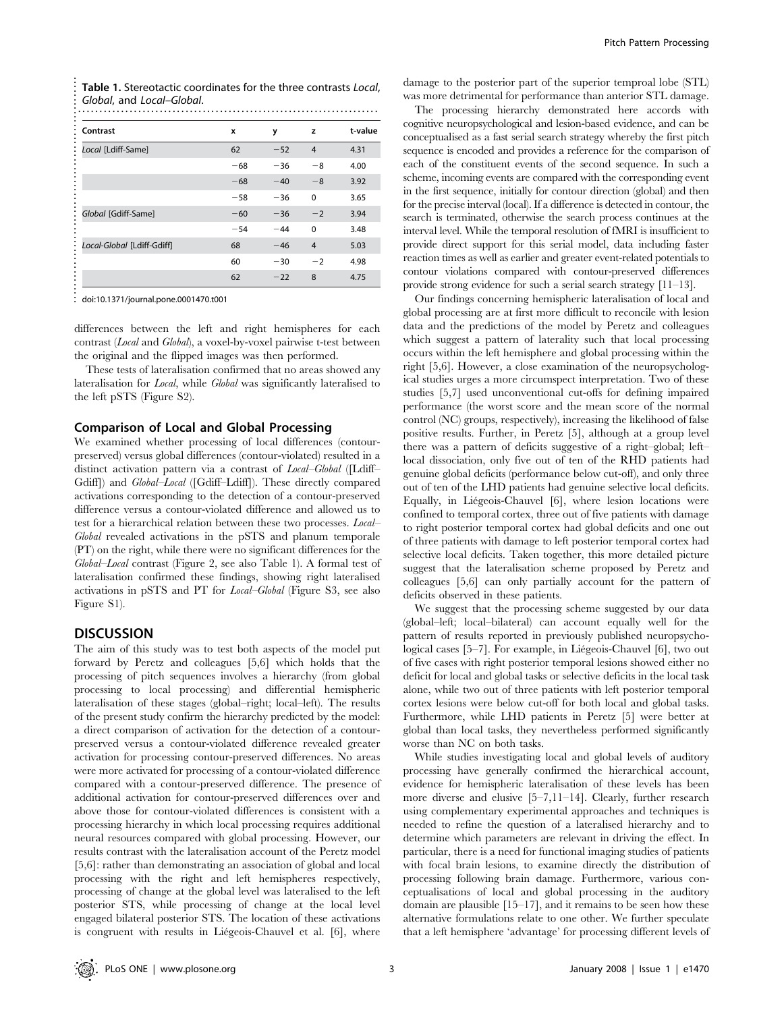| Table 1. Stereotactic coordinates for the three contrasts Local,<br>Global, and Local-Global. |       |       |                |         |
|-----------------------------------------------------------------------------------------------|-------|-------|----------------|---------|
| Contrast                                                                                      | x     | у     | z              | t-value |
| Local [Ldiff-Same]                                                                            | 62    | $-52$ | $\overline{4}$ | 4.31    |
|                                                                                               | $-68$ | $-36$ | $-8$           | 4.00    |
|                                                                                               | $-68$ | $-40$ | $-8$           | 3.92    |
|                                                                                               | $-58$ | $-36$ | $\Omega$       | 3.65    |
| Global [Gdiff-Same]                                                                           | $-60$ | $-36$ | $-2$           | 3.94    |
|                                                                                               | $-54$ | $-44$ | $\Omega$       | 3.48    |
| Local-Global [Ldiff-Gdiff]                                                                    | 68    | $-46$ | $\overline{4}$ | 5.03    |
|                                                                                               | 60    | $-30$ | $-2$           | 4.98    |
|                                                                                               | 62    | $-22$ | 8              | 4.75    |
| doi:10.1371/journal.pone.0001470.t001                                                         |       |       |                |         |

doi:10.1371/journal.pone.0001470.t001

differences between the left and right hemispheres for each contrast (Local and Global), a voxel-by-voxel pairwise t-test between the original and the flipped images was then performed.

These tests of lateralisation confirmed that no areas showed any lateralisation for Local, while Global was significantly lateralised to the left pSTS (Figure S2).

#### Comparison of Local and Global Processing

We examined whether processing of local differences (contourpreserved) versus global differences (contour-violated) resulted in a distinct activation pattern via a contrast of Local–Global ([Ldiff– Gdiff]) and Global–Local ([Gdiff–Ldiff]). These directly compared activations corresponding to the detection of a contour-preserved difference versus a contour-violated difference and allowed us to test for a hierarchical relation between these two processes. Local– Global revealed activations in the pSTS and planum temporale (PT) on the right, while there were no significant differences for the Global–Local contrast (Figure 2, see also Table 1). A formal test of lateralisation confirmed these findings, showing right lateralised activations in pSTS and PT for Local–Global (Figure S3, see also Figure S1).

## **DISCUSSION**

The aim of this study was to test both aspects of the model put forward by Peretz and colleagues [5,6] which holds that the processing of pitch sequences involves a hierarchy (from global processing to local processing) and differential hemispheric lateralisation of these stages (global–right; local–left). The results of the present study confirm the hierarchy predicted by the model: a direct comparison of activation for the detection of a contourpreserved versus a contour-violated difference revealed greater activation for processing contour-preserved differences. No areas were more activated for processing of a contour-violated difference compared with a contour-preserved difference. The presence of additional activation for contour-preserved differences over and above those for contour-violated differences is consistent with a processing hierarchy in which local processing requires additional neural resources compared with global processing. However, our results contrast with the lateralisation account of the Peretz model [5,6]: rather than demonstrating an association of global and local processing with the right and left hemispheres respectively, processing of change at the global level was lateralised to the left posterior STS, while processing of change at the local level engaged bilateral posterior STS. The location of these activations is congruent with results in Liégeois-Chauvel et al. [6], where

damage to the posterior part of the superior temproal lobe (STL) was more detrimental for performance than anterior STL damage.

The processing hierarchy demonstrated here accords with cognitive neuropsychological and lesion-based evidence, and can be conceptualised as a fast serial search strategy whereby the first pitch sequence is encoded and provides a reference for the comparison of each of the constituent events of the second sequence. In such a scheme, incoming events are compared with the corresponding event in the first sequence, initially for contour direction (global) and then for the precise interval (local). If a difference is detected in contour, the search is terminated, otherwise the search process continues at the interval level. While the temporal resolution of fMRI is insufficient to provide direct support for this serial model, data including faster reaction times as well as earlier and greater event-related potentials to contour violations compared with contour-preserved differences provide strong evidence for such a serial search strategy [11–13].

Our findings concerning hemispheric lateralisation of local and global processing are at first more difficult to reconcile with lesion data and the predictions of the model by Peretz and colleagues which suggest a pattern of laterality such that local processing occurs within the left hemisphere and global processing within the right [5,6]. However, a close examination of the neuropsychological studies urges a more circumspect interpretation. Two of these studies [5,7] used unconventional cut-offs for defining impaired performance (the worst score and the mean score of the normal control (NC) groups, respectively), increasing the likelihood of false positive results. Further, in Peretz [5], although at a group level there was a pattern of deficits suggestive of a right–global; left– local dissociation, only five out of ten of the RHD patients had genuine global deficits (performance below cut-off), and only three out of ten of the LHD patients had genuine selective local deficits. Equally, in Liégeois-Chauvel [6], where lesion locations were confined to temporal cortex, three out of five patients with damage to right posterior temporal cortex had global deficits and one out of three patients with damage to left posterior temporal cortex had selective local deficits. Taken together, this more detailed picture suggest that the lateralisation scheme proposed by Peretz and colleagues [5,6] can only partially account for the pattern of deficits observed in these patients.

We suggest that the processing scheme suggested by our data (global–left; local–bilateral) can account equally well for the pattern of results reported in previously published neuropsychological cases [5–7]. For example, in Liégeois-Chauvel [6], two out of five cases with right posterior temporal lesions showed either no deficit for local and global tasks or selective deficits in the local task alone, while two out of three patients with left posterior temporal cortex lesions were below cut-off for both local and global tasks. Furthermore, while LHD patients in Peretz [5] were better at global than local tasks, they nevertheless performed significantly worse than NC on both tasks.

While studies investigating local and global levels of auditory processing have generally confirmed the hierarchical account, evidence for hemispheric lateralisation of these levels has been more diverse and elusive [5–7,11–14]. Clearly, further research using complementary experimental approaches and techniques is needed to refine the question of a lateralised hierarchy and to determine which parameters are relevant in driving the effect. In particular, there is a need for functional imaging studies of patients with focal brain lesions, to examine directly the distribution of processing following brain damage. Furthermore, various conceptualisations of local and global processing in the auditory domain are plausible [15–17], and it remains to be seen how these alternative formulations relate to one other. We further speculate that a left hemisphere 'advantage' for processing different levels of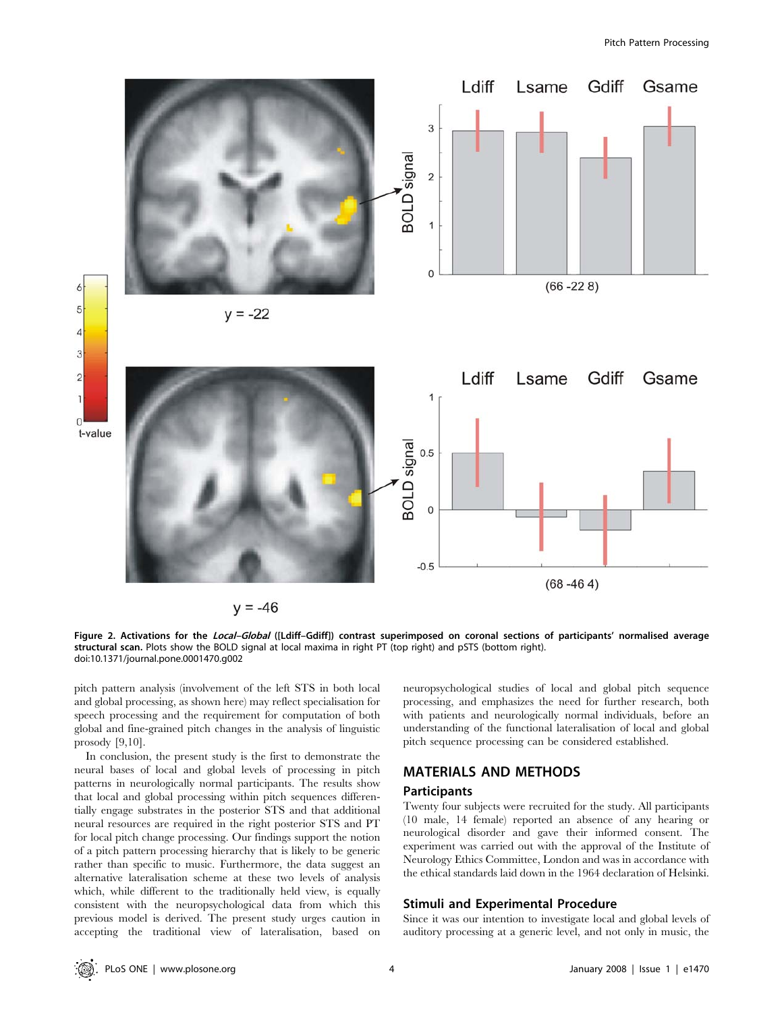

Figure 2. Activations for the Local-Global ([Ldiff-Gdiff]) contrast superimposed on coronal sections of participants' normalised average structural scan. Plots show the BOLD signal at local maxima in right PT (top right) and pSTS (bottom right). doi:10.1371/journal.pone.0001470.g002

pitch pattern analysis (involvement of the left STS in both local and global processing, as shown here) may reflect specialisation for speech processing and the requirement for computation of both global and fine-grained pitch changes in the analysis of linguistic prosody [9,10].

In conclusion, the present study is the first to demonstrate the neural bases of local and global levels of processing in pitch patterns in neurologically normal participants. The results show that local and global processing within pitch sequences differentially engage substrates in the posterior STS and that additional neural resources are required in the right posterior STS and PT for local pitch change processing. Our findings support the notion of a pitch pattern processing hierarchy that is likely to be generic rather than specific to music. Furthermore, the data suggest an alternative lateralisation scheme at these two levels of analysis which, while different to the traditionally held view, is equally consistent with the neuropsychological data from which this previous model is derived. The present study urges caution in accepting the traditional view of lateralisation, based on neuropsychological studies of local and global pitch sequence processing, and emphasizes the need for further research, both with patients and neurologically normal individuals, before an understanding of the functional lateralisation of local and global pitch sequence processing can be considered established.

## MATERIALS AND METHODS

#### **Participants**

Twenty four subjects were recruited for the study. All participants (10 male, 14 female) reported an absence of any hearing or neurological disorder and gave their informed consent. The experiment was carried out with the approval of the Institute of Neurology Ethics Committee, London and was in accordance with the ethical standards laid down in the 1964 declaration of Helsinki.

## Stimuli and Experimental Procedure

Since it was our intention to investigate local and global levels of auditory processing at a generic level, and not only in music, the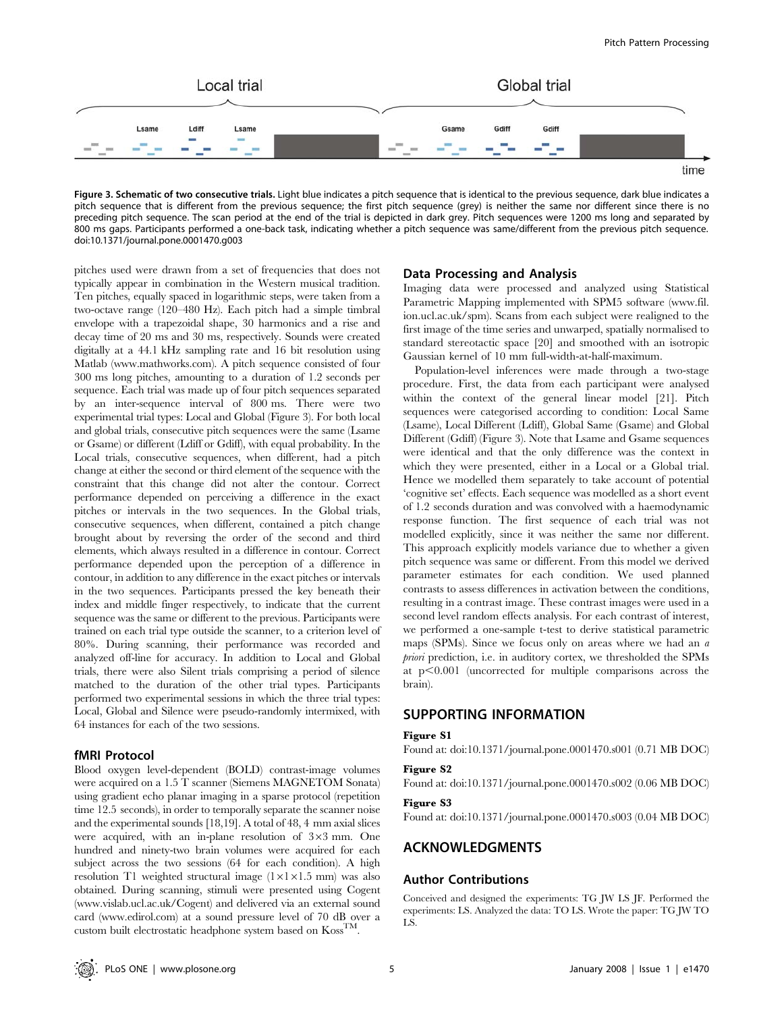

Figure 3. Schematic of two consecutive trials. Light blue indicates a pitch sequence that is identical to the previous sequence, dark blue indicates a pitch sequence that is different from the previous sequence; the first pitch sequence (grey) is neither the same nor different since there is no preceding pitch sequence. The scan period at the end of the trial is depicted in dark grey. Pitch sequences were 1200 ms long and separated by 800 ms gaps. Participants performed a one-back task, indicating whether a pitch sequence was same/different from the previous pitch sequence. doi:10.1371/journal.pone.0001470.g003

pitches used were drawn from a set of frequencies that does not typically appear in combination in the Western musical tradition. Ten pitches, equally spaced in logarithmic steps, were taken from a two-octave range (120–480 Hz). Each pitch had a simple timbral envelope with a trapezoidal shape, 30 harmonics and a rise and decay time of 20 ms and 30 ms, respectively. Sounds were created digitally at a 44.1 kHz sampling rate and 16 bit resolution using Matlab (www.mathworks.com). A pitch sequence consisted of four 300 ms long pitches, amounting to a duration of 1.2 seconds per sequence. Each trial was made up of four pitch sequences separated by an inter-sequence interval of 800 ms. There were two experimental trial types: Local and Global (Figure 3). For both local and global trials, consecutive pitch sequences were the same (Lsame or Gsame) or different (Ldiff or Gdiff), with equal probability. In the Local trials, consecutive sequences, when different, had a pitch change at either the second or third element of the sequence with the constraint that this change did not alter the contour. Correct performance depended on perceiving a difference in the exact pitches or intervals in the two sequences. In the Global trials, consecutive sequences, when different, contained a pitch change brought about by reversing the order of the second and third elements, which always resulted in a difference in contour. Correct performance depended upon the perception of a difference in contour, in addition to any difference in the exact pitches or intervals in the two sequences. Participants pressed the key beneath their index and middle finger respectively, to indicate that the current sequence was the same or different to the previous. Participants were trained on each trial type outside the scanner, to a criterion level of 80%. During scanning, their performance was recorded and analyzed off-line for accuracy. In addition to Local and Global trials, there were also Silent trials comprising a period of silence matched to the duration of the other trial types. Participants performed two experimental sessions in which the three trial types: Local, Global and Silence were pseudo-randomly intermixed, with 64 instances for each of the two sessions.

## fMRI Protocol

Blood oxygen level-dependent (BOLD) contrast-image volumes were acquired on a 1.5 T scanner (Siemens MAGNETOM Sonata) using gradient echo planar imaging in a sparse protocol (repetition time 12.5 seconds), in order to temporally separate the scanner noise and the experimental sounds [18,19]. A total of 48, 4 mm axial slices were acquired, with an in-plane resolution of  $3\times3$  mm. One hundred and ninety-two brain volumes were acquired for each subject across the two sessions (64 for each condition). A high resolution T1 weighted structural image  $(1 \times 1 \times 1.5 \text{ mm})$  was also obtained. During scanning, stimuli were presented using Cogent (www.vislab.ucl.ac.uk/Cogent) and delivered via an external sound card (www.edirol.com) at a sound pressure level of 70 dB over a custom built electrostatic headphone system based on  $\text{Koss}^{\text{TM}}$ .

## Data Processing and Analysis

Imaging data were processed and analyzed using Statistical Parametric Mapping implemented with SPM5 software (www.fil. ion.ucl.ac.uk/spm). Scans from each subject were realigned to the first image of the time series and unwarped, spatially normalised to standard stereotactic space [20] and smoothed with an isotropic Gaussian kernel of 10 mm full-width-at-half-maximum.

Population-level inferences were made through a two-stage procedure. First, the data from each participant were analysed within the context of the general linear model [21]. Pitch sequences were categorised according to condition: Local Same (Lsame), Local Different (Ldiff), Global Same (Gsame) and Global Different (Gdiff) (Figure 3). Note that Lsame and Gsame sequences were identical and that the only difference was the context in which they were presented, either in a Local or a Global trial. Hence we modelled them separately to take account of potential 'cognitive set' effects. Each sequence was modelled as a short event of 1.2 seconds duration and was convolved with a haemodynamic response function. The first sequence of each trial was not modelled explicitly, since it was neither the same nor different. This approach explicitly models variance due to whether a given pitch sequence was same or different. From this model we derived parameter estimates for each condition. We used planned contrasts to assess differences in activation between the conditions, resulting in a contrast image. These contrast images were used in a second level random effects analysis. For each contrast of interest, we performed a one-sample t-test to derive statistical parametric maps (SPMs). Since we focus only on areas where we had an a priori prediction, i.e. in auditory cortex, we thresholded the SPMs at  $p<0.001$  (uncorrected for multiple comparisons across the brain).

## SUPPORTING INFORMATION

#### Figure S1

Found at: doi:10.1371/journal.pone.0001470.s001 (0.71 MB DOC)

#### Figure S2

Found at: doi:10.1371/journal.pone.0001470.s002 (0.06 MB DOC)

#### Figure S3

Found at: doi:10.1371/journal.pone.0001470.s003 (0.04 MB DOC)

## ACKNOWLEDGMENTS

#### Author Contributions

Conceived and designed the experiments: TG JW LS JF. Performed the experiments: LS. Analyzed the data: TO LS. Wrote the paper: TG JW TO LS.